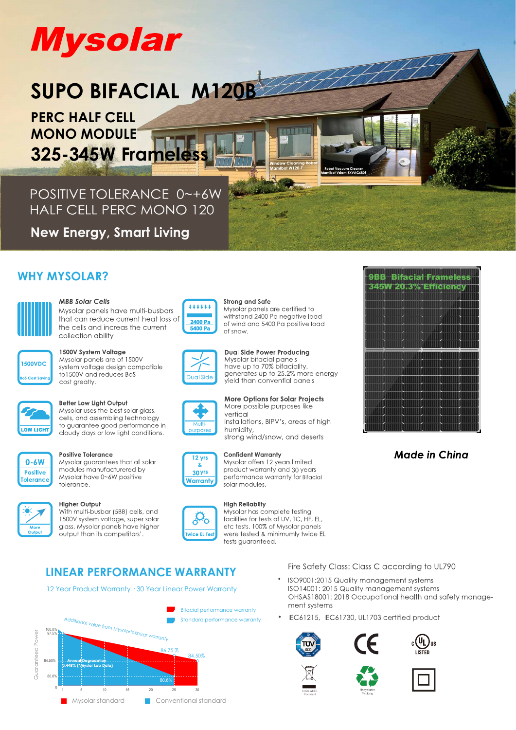# **Mysolar**

# SUPO BIFACIAL M120B

**PERC HALF CELL MONO MODULE 325-345W Framele** 

POSITIVE TOLERANCE 0~+6W **HALF CELL PERC MONO 120** 

**New Energy, Smart Living** 

## **WHY MYSOLAR?**



## **MBB Solar Cells**

Mysolar panels have multi-busbars that can reduce current heat loss of the cells and increas the current collection ability



## 1500V System Voltage

Mysolar panels are of 1500V system voltage design compatible to 1500V and reduces BoS cost greatly.



## Better Low Light Output

Mysolar uses the best solar glass, cells, and assembling technology to guarantee good performance in cloudy days or low light conditions.



## **Positive Tolerance**

Mysolar quarantees that all solar modules manufacturered by Mysolar have 0~6W positive tolerance.

## **Higher Output**

With multi-busbar (5BB) cells, and 1500V system voltage, super solar glass, Mysolar panels have higher output than its competitors'



## **Strong and Safe** Mysolar panels are certified to withstand 2400 Pa negative load of wind and 5400 Pa positive load of snow

i a n'i Bise



**Dual Side Power Producing** Mysolar bifacial panels<br>have up to 70% bifaciality,<br>generates up to 25.2% more energy yield than convential panels



## 12 yrs  $\mathbf{z}$ 30 yrs

### **Confident Warranty** Mysolar offers 12 years limited

vertical



**High Reliablity** Mysolar has complete testing facilities for tests of UV. TC. HF. EL. etc tests. 100% of Mysolar panels were tested & minimumly twice EL

## Fire Safety Class: Class C according to UL790

**LINEAR PERFORMANCE WARRANTY** 12 Year Product Warranty · 30 Year Linear Power Warranty

tests quaranteed.



- ISO9001:2015 Quality management systems ISO14001: 2015 Quality management systems OHSAS18001: 2018 Occupational health and safety management systems
- IEC61215, IEC61730, UL1703 certified product

















**Made in China** 

## **More Options for Solar Projects** More possible purposes like installations, BIPV's, areas of high

humidity, strong wind/snow, and deserts

# Warranty